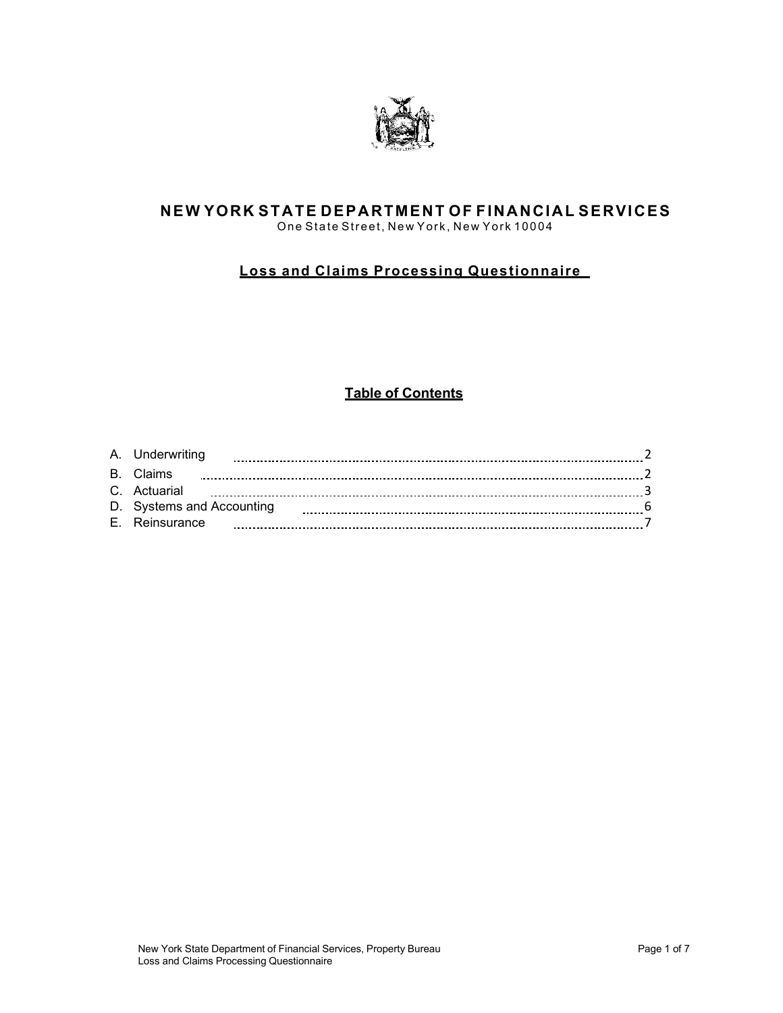

## **NEW YORK STATE DEPARTMENT OF FINANCIAL SERVICES** One State Street, New York, New York 10004

# **Loss and Claims Processing Questionnaire**

# **Table of Contents**

| A. Underwriting           |  |
|---------------------------|--|
| <b>B</b> Claims           |  |
| C. Actuarial              |  |
| D. Systems and Accounting |  |
| E. Reinsurance            |  |
|                           |  |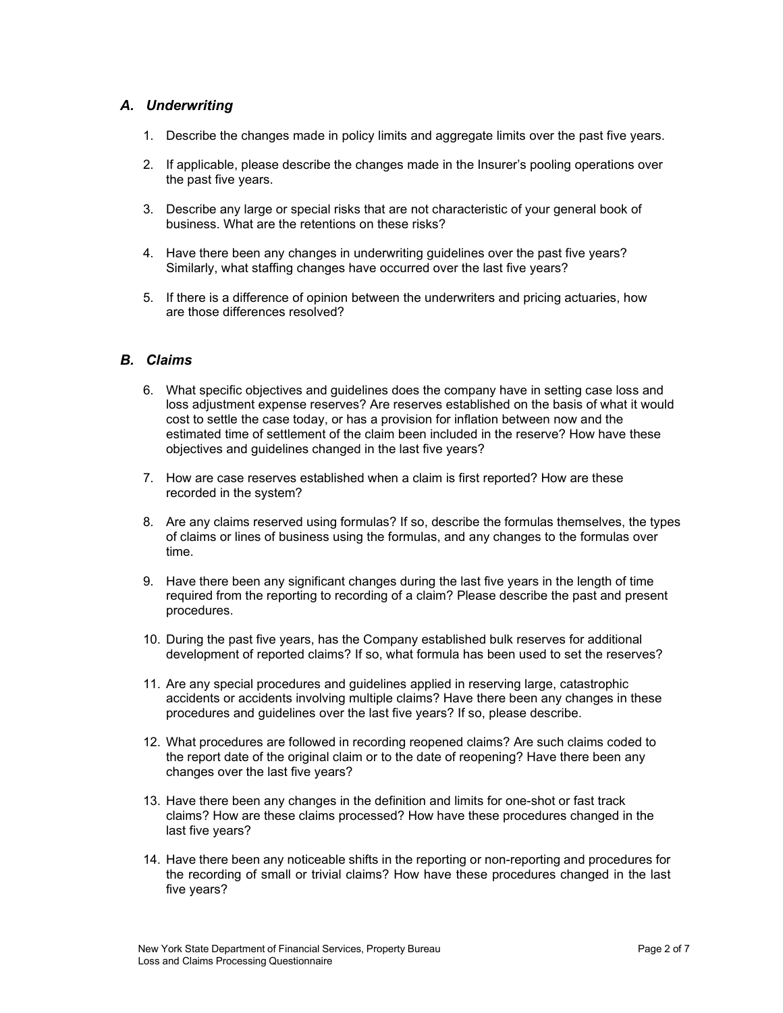# <span id="page-1-0"></span>*A. Underwriting*

- 1. Describe the changes made in policy limits and aggregate limits over the past five years.
- 2. If applicable, please describe the changes made in the Insurer's pooling operations over the past five years.
- 3. Describe any large or special risks that are not characteristic of your general book of business. What are the retentions on these risks?
- 4. Have there been any changes in underwriting guidelines over the past five years? Similarly, what staffing changes have occurred over the last five years?
- 5. If there is a difference of opinion between the underwriters and pricing actuaries, how are those differences resolved?

## <span id="page-1-1"></span>*B. Claims*

- 6. What specific objectives and guidelines does the company have in setting case loss and loss adjustment expense reserves? Are reserves established on the basis of what it would cost to settle the case today, or has a provision for inflation between now and the estimated time of settlement of the claim been included in the reserve? How have these objectives and guidelines changed in the last five years?
- 7. How are case reserves established when a claim is first reported? How are these recorded in the system?
- 8. Are any claims reserved using formulas? If so, describe the formulas themselves, the types of claims or lines of business using the formulas, and any changes to the formulas over time.
- 9. Have there been any significant changes during the last five years in the length of time required from the reporting to recording of a claim? Please describe the past and present procedures.
- 10. During the past five years, has the Company established bulk reserves for additional development of reported claims? If so, what formula has been used to set the reserves?
- 11. Are any special procedures and guidelines applied in reserving large, catastrophic accidents or accidents involving multiple claims? Have there been any changes in these procedures and guidelines over the last five years? If so, please describe.
- 12. What procedures are followed in recording reopened claims? Are such claims coded to the report date of the original claim or to the date of reopening? Have there been any changes over the last five years?
- 13. Have there been any changes in the definition and limits for one-shot or fast track claims? How are these claims processed? How have these procedures changed in the last five years?
- 14. Have there been any noticeable shifts in the reporting or non-reporting and procedures for the recording of small or trivial claims? How have these procedures changed in the last five years?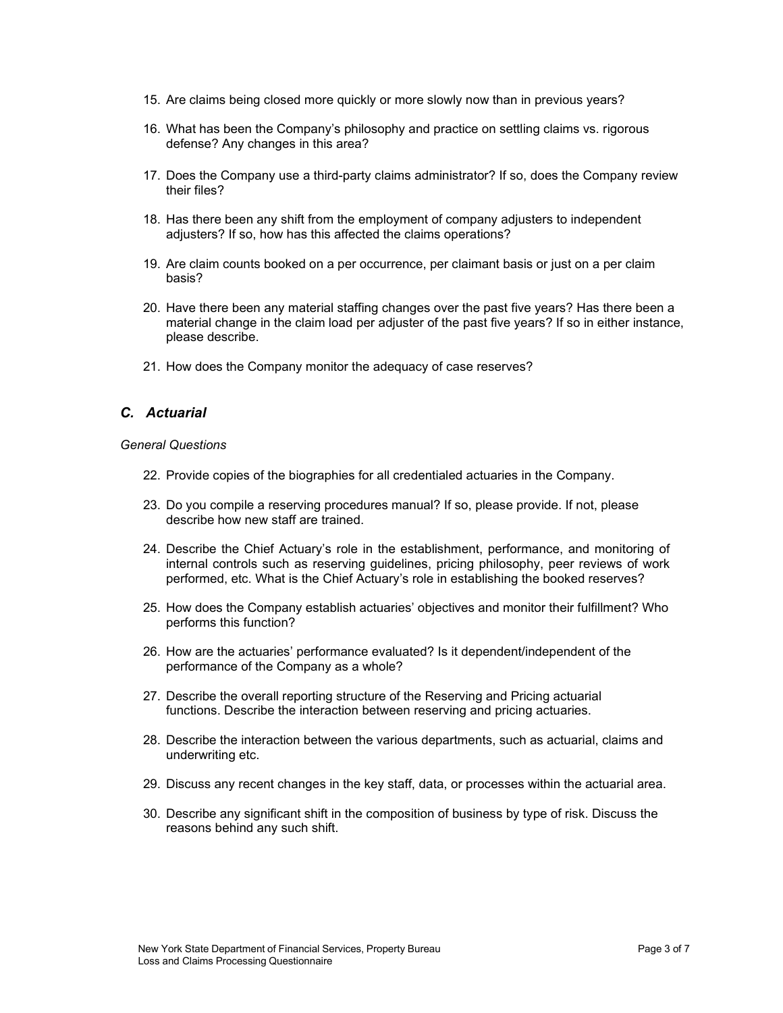- 15. Are claims being closed more quickly or more slowly now than in previous years?
- 16. What has been the Company's philosophy and practice on settling claims vs. rigorous defense? Any changes in this area?
- 17. Does the Company use a third-party claims administrator? If so, does the Company review their files?
- 18. Has there been any shift from the employment of company adjusters to independent adjusters? If so, how has this affected the claims operations?
- 19. Are claim counts booked on a per occurrence, per claimant basis or just on a per claim basis?
- 20. Have there been any material staffing changes over the past five years? Has there been a material change in the claim load per adjuster of the past five years? If so in either instance, please describe.
- 21. How does the Company monitor the adequacy of case reserves?

## <span id="page-2-0"></span>*C. Actuarial*

### *General Questions*

- 22. Provide copies of the biographies for all credentialed actuaries in the Company.
- 23. Do you compile a reserving procedures manual? If so, please provide. If not, please describe how new staff are trained.
- 24. Describe the Chief Actuary's role in the establishment, performance, and monitoring of internal controls such as reserving guidelines, pricing philosophy, peer reviews of work performed, etc. What is the Chief Actuary's role in establishing the booked reserves?
- 25. How does the Company establish actuaries' objectives and monitor their fulfillment? Who performs this function?
- 26. How are the actuaries' performance evaluated? Is it dependent/independent of the performance of the Company as a whole?
- 27. Describe the overall reporting structure of the Reserving and Pricing actuarial functions. Describe the interaction between reserving and pricing actuaries.
- 28. Describe the interaction between the various departments, such as actuarial, claims and underwriting etc.
- 29. Discuss any recent changes in the key staff, data, or processes within the actuarial area.
- 30. Describe any significant shift in the composition of business by type of risk. Discuss the reasons behind any such shift.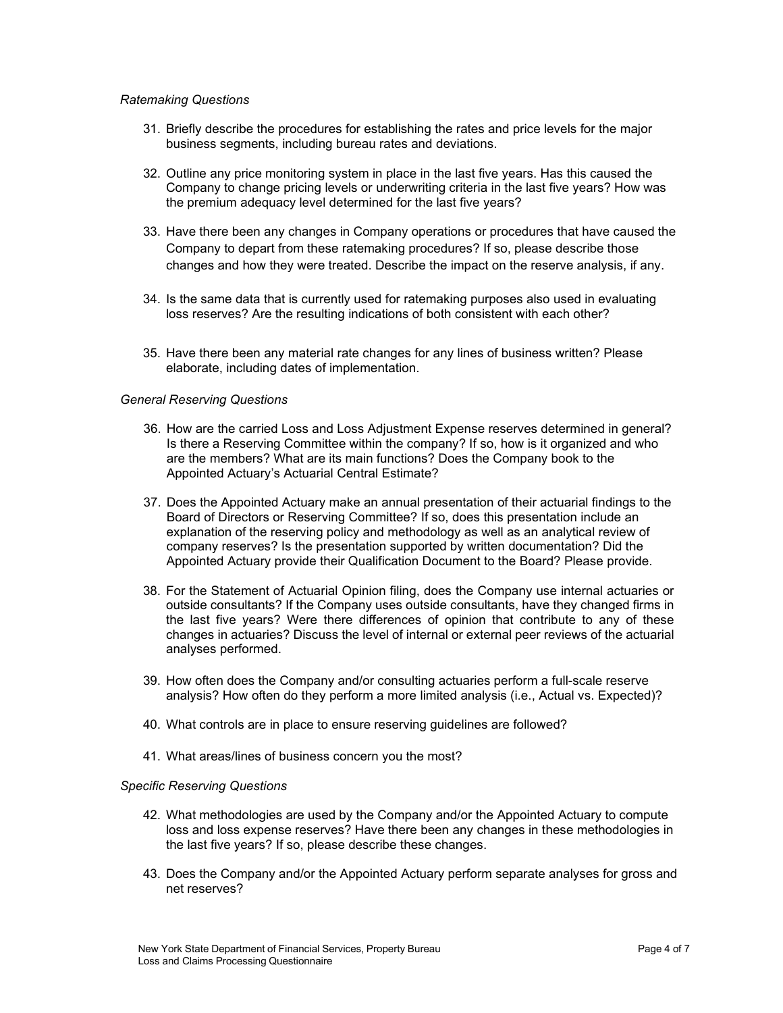## *Ratemaking Questions*

- 31. Briefly describe the procedures for establishing the rates and price levels for the major business segments, including bureau rates and deviations.
- 32. Outline any price monitoring system in place in the last five years. Has this caused the Company to change pricing levels or underwriting criteria in the last five years? How was the premium adequacy level determined for the last five years?
- 33. Have there been any changes in Company operations or procedures that have caused the Company to depart from these ratemaking procedures? If so, please describe those changes and how they were treated. Describe the impact on the reserve analysis, if any.
- 34. Is the same data that is currently used for ratemaking purposes also used in evaluating loss reserves? Are the resulting indications of both consistent with each other?
- 35. Have there been any material rate changes for any lines of business written? Please elaborate, including dates of implementation.

### *General Reserving Questions*

- 36. How are the carried Loss and Loss Adjustment Expense reserves determined in general? Is there a Reserving Committee within the company? If so, how is it organized and who are the members? What are its main functions? Does the Company book to the Appointed Actuary's Actuarial Central Estimate?
- 37. Does the Appointed Actuary make an annual presentation of their actuarial findings to the Board of Directors or Reserving Committee? If so, does this presentation include an explanation of the reserving policy and methodology as well as an analytical review of company reserves? Is the presentation supported by written documentation? Did the Appointed Actuary provide their Qualification Document to the Board? Please provide.
- 38. For the Statement of Actuarial Opinion filing, does the Company use internal actuaries or outside consultants? If the Company uses outside consultants, have they changed firms in the last five years? Were there differences of opinion that contribute to any of these changes in actuaries? Discuss the level of internal or external peer reviews of the actuarial analyses performed.
- 39. How often does the Company and/or consulting actuaries perform a full-scale reserve analysis? How often do they perform a more limited analysis (i.e., Actual vs. Expected)?
- 40. What controls are in place to ensure reserving guidelines are followed?
- 41. What areas/lines of business concern you the most?

#### *Specific Reserving Questions*

- 42. What methodologies are used by the Company and/or the Appointed Actuary to compute loss and loss expense reserves? Have there been any changes in these methodologies in the last five years? If so, please describe these changes.
- 43. Does the Company and/or the Appointed Actuary perform separate analyses for gross and net reserves?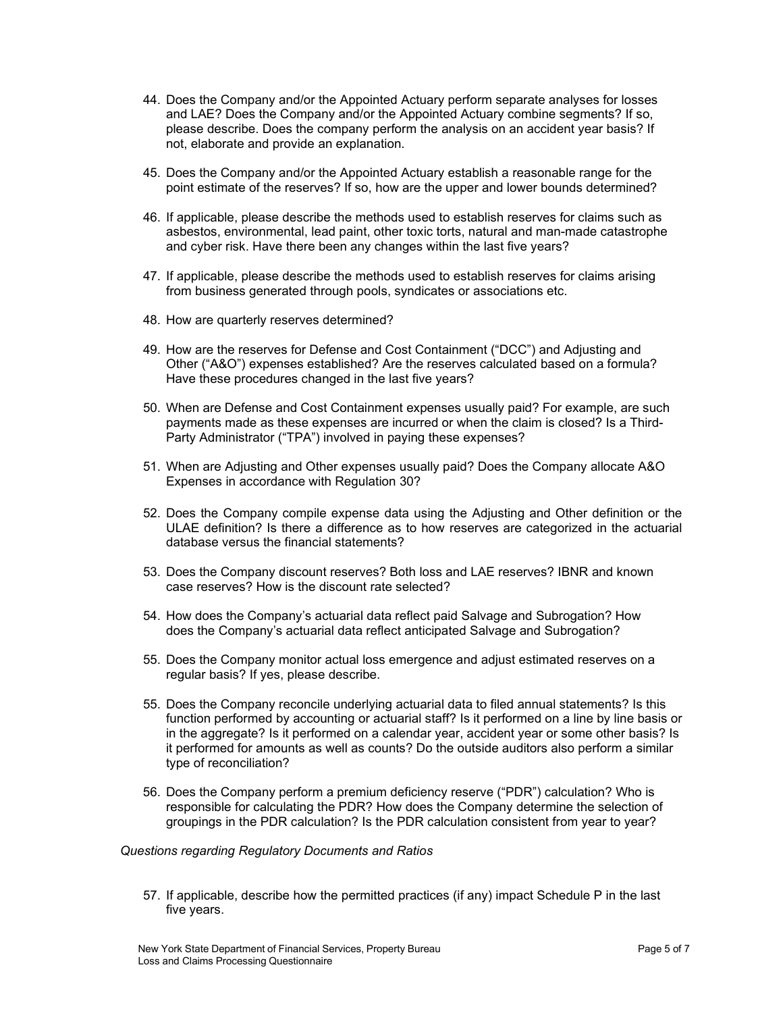- 44. Does the Company and/or the Appointed Actuary perform separate analyses for losses and LAE? Does the Company and/or the Appointed Actuary combine segments? If so, please describe. Does the company perform the analysis on an accident year basis? If not, elaborate and provide an explanation.
- 45. Does the Company and/or the Appointed Actuary establish a reasonable range for the point estimate of the reserves? If so, how are the upper and lower bounds determined?
- 46. If applicable, please describe the methods used to establish reserves for claims such as asbestos, environmental, lead paint, other toxic torts, natural and man-made catastrophe and cyber risk. Have there been any changes within the last five years?
- 47. If applicable, please describe the methods used to establish reserves for claims arising from business generated through pools, syndicates or associations etc.
- 48. How are quarterly reserves determined?
- 49. How are the reserves for Defense and Cost Containment ("DCC") and Adjusting and Other ("A&O") expenses established? Are the reserves calculated based on a formula? Have these procedures changed in the last five years?
- 50. When are Defense and Cost Containment expenses usually paid? For example, are such payments made as these expenses are incurred or when the claim is closed? Is a Third-Party Administrator ("TPA") involved in paying these expenses?
- 51. When are Adjusting and Other expenses usually paid? Does the Company allocate A&O Expenses in accordance with Regulation 30?
- 52. Does the Company compile expense data using the Adjusting and Other definition or the ULAE definition? Is there a difference as to how reserves are categorized in the actuarial database versus the financial statements?
- 53. Does the Company discount reserves? Both loss and LAE reserves? IBNR and known case reserves? How is the discount rate selected?
- 54. How does the Company's actuarial data reflect paid Salvage and Subrogation? How does the Company's actuarial data reflect anticipated Salvage and Subrogation?
- 55. Does the Company monitor actual loss emergence and adjust estimated reserves on a regular basis? If yes, please describe.
- 55. Does the Company reconcile underlying actuarial data to filed annual statements? Is this function performed by accounting or actuarial staff? Is it performed on a line by line basis or in the aggregate? Is it performed on a calendar year, accident year or some other basis? Is it performed for amounts as well as counts? Do the outside auditors also perform a similar type of reconciliation?
- 56. Does the Company perform a premium deficiency reserve ("PDR") calculation? Who is responsible for calculating the PDR? How does the Company determine the selection of groupings in the PDR calculation? Is the PDR calculation consistent from year to year?

#### *Questions regarding Regulatory Documents and Ratios*

57. If applicable, describe how the permitted practices (if any) impact Schedule P in the last five years.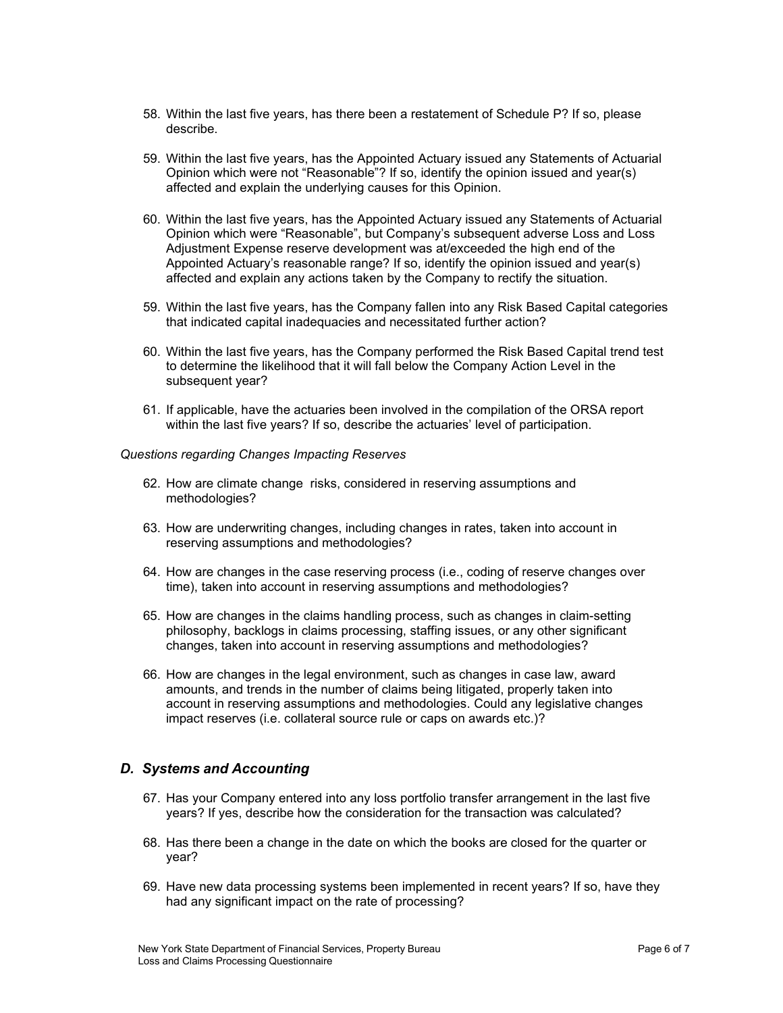- 58. Within the last five years, has there been a restatement of Schedule P? If so, please describe.
- 59. Within the last five years, has the Appointed Actuary issued any Statements of Actuarial Opinion which were not "Reasonable"? If so, identify the opinion issued and year(s) affected and explain the underlying causes for this Opinion.
- 60. Within the last five years, has the Appointed Actuary issued any Statements of Actuarial Opinion which were "Reasonable", but Company's subsequent adverse Loss and Loss Adjustment Expense reserve development was at/exceeded the high end of the Appointed Actuary's reasonable range? If so, identify the opinion issued and year(s) affected and explain any actions taken by the Company to rectify the situation.
- 59. Within the last five years, has the Company fallen into any Risk Based Capital categories that indicated capital inadequacies and necessitated further action?
- 60. Within the last five years, has the Company performed the Risk Based Capital trend test to determine the likelihood that it will fall below the Company Action Level in the subsequent year?
- 61. If applicable, have the actuaries been involved in the compilation of the ORSA report within the last five years? If so, describe the actuaries' level of participation.

## *Questions regarding Changes Impacting Reserves*

- 62. How are climate change risks, considered in reserving assumptions and methodologies?
- 63. How are underwriting changes, including changes in rates, taken into account in reserving assumptions and methodologies?
- 64. How are changes in the case reserving process (i.e., coding of reserve changes over time), taken into account in reserving assumptions and methodologies?
- 65. How are changes in the claims handling process, such as changes in claim-setting philosophy, backlogs in claims processing, staffing issues, or any other significant changes, taken into account in reserving assumptions and methodologies?
- 66. How are changes in the legal environment, such as changes in case law, award amounts, and trends in the number of claims being litigated, properly taken into account in reserving assumptions and methodologies. Could any legislative changes impact reserves (i.e. collateral source rule or caps on awards etc.)?

## <span id="page-5-0"></span>*D. Systems and Accounting*

- 67. Has your Company entered into any loss portfolio transfer arrangement in the last five years? If yes, describe how the consideration for the transaction was calculated?
- 68. Has there been a change in the date on which the books are closed for the quarter or year?
- 69. Have new data processing systems been implemented in recent years? If so, have they had any significant impact on the rate of processing?